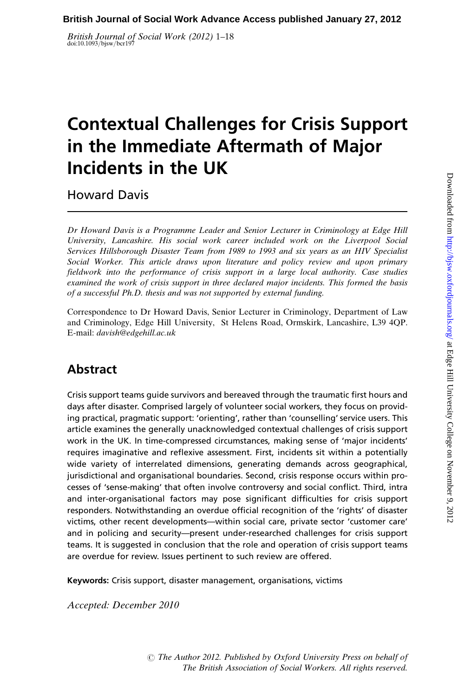British Journal of Social Work (2012) 1-18<br>doi:10.1093/bjsw/bcr197

# Contextual Challenges for Crisis Support in the Immediate Aftermath of Major Incidents in the UK

Howard Davis

Dr Howard Davis is a Programme Leader and Senior Lecturer in Criminology at Edge Hill University, Lancashire. His social work career included work on the Liverpool Social Services Hillsborough Disaster Team from 1989 to 1993 and six years as an HIV Specialist Social Worker. This article draws upon literature and policy review and upon primary fieldwork into the performance of crisis support in a large local authority. Case studies examined the work of crisis support in three declared major incidents. This formed the basis of a successful Ph.D. thesis and was not supported by external funding.

Correspondence to Dr Howard Davis, Senior Lecturer in Criminology, Department of Law and Criminology, Edge Hill University, St Helens Road, Ormskirk, Lancashire, L39 4QP. E-mail: davish@edgehill.ac.uk

# Abstract

Crisis support teams guide survivors and bereaved through the traumatic first hours and days after disaster. Comprised largely of volunteer social workers, they focus on providing practical, pragmatic support: 'orienting', rather than 'counselling' service users. This article examines the generally unacknowledged contextual challenges of crisis support work in the UK. In time-compressed circumstances, making sense of 'major incidents' requires imaginative and reflexive assessment. First, incidents sit within a potentially wide variety of interrelated dimensions, generating demands across geographical, jurisdictional and organisational boundaries. Second, crisis response occurs within processes of 'sense-making' that often involve controversy and social conflict. Third, intra and inter-organisational factors may pose significant difficulties for crisis support responders. Notwithstanding an overdue official recognition of the 'rights' of disaster victims, other recent developments—within social care, private sector 'customer care' and in policing and security—present under-researched challenges for crisis support teams. It is suggested in conclusion that the role and operation of crisis support teams are overdue for review. Issues pertinent to such review are offered.

Keywords: Crisis support, disaster management, organisations, victims

Accepted: December 2010

 $\odot$  The Author 2012. Published by Oxford University Press on behalf of The British Association of Social Workers. All rights reserved.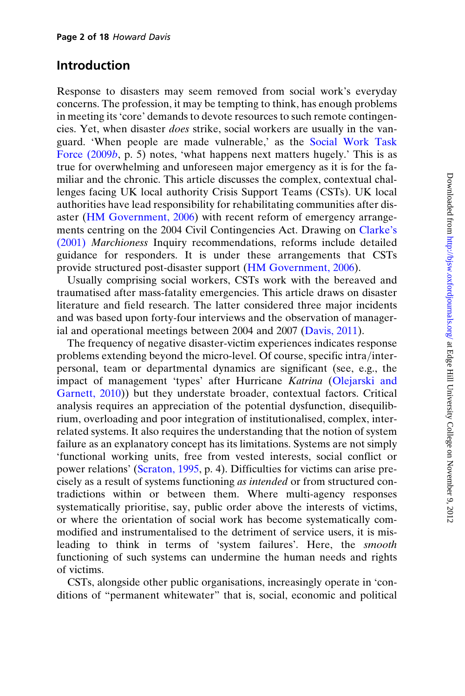## Introduction

Response to disasters may seem removed from social work's everyday concerns. The profession, it may be tempting to think, has enough problems in meeting its 'core' demands to devote resources to such remote contingencies. Yet, when disaster does strike, social workers are usually in the vanguard. 'When people are made vulnerable,' as the [Social Work Task](#page-17-0) [Force \(2009](#page-17-0)b, p. 5) notes, 'what happens next matters hugely.' This is as true for overwhelming and unforeseen major emergency as it is for the familiar and the chronic. This article discusses the complex, contextual challenges facing UK local authority Crisis Support Teams (CSTs). UK local authorities have lead responsibility for rehabilitating communities after disaster [\(HM Government, 2006\)](#page-15-0) with recent reform of emergency arrangements centring on the 2004 Civil Contingencies Act. Drawing on [Clarke's](#page-14-0) [\(2001\)](#page-14-0) Marchioness Inquiry recommendations, reforms include detailed guidance for responders. It is under these arrangements that CSTs provide structured post-disaster support [\(HM Government, 2006](#page-15-0)).

Usually comprising social workers, CSTs work with the bereaved and traumatised after mass-fatality emergencies. This article draws on disaster literature and field research. The latter considered three major incidents and was based upon forty-four interviews and the observation of managerial and operational meetings between 2004 and 2007 [\(Davis, 2011\)](#page-14-0).

The frequency of negative disaster-victim experiences indicates response problems extending beyond the micro-level. Of course, specific intra/interpersonal, team or departmental dynamics are significant (see, e.g., the impact of management 'types' after Hurricane Katrina [\(Olejarski and](#page-16-0) [Garnett, 2010](#page-16-0))) but they understate broader, contextual factors. Critical analysis requires an appreciation of the potential dysfunction, disequilibrium, overloading and poor integration of institutionalised, complex, interrelated systems. It also requires the understanding that the notion of system failure as an explanatory concept has its limitations. Systems are not simply 'functional working units, free from vested interests, social conflict or power relations' ([Scraton, 1995](#page-17-0), p. 4). Difficulties for victims can arise precisely as a result of systems functioning as intended or from structured contradictions within or between them. Where multi-agency responses systematically prioritise, say, public order above the interests of victims, or where the orientation of social work has become systematically commodified and instrumentalised to the detriment of service users, it is misleading to think in terms of 'system failures'. Here, the smooth functioning of such systems can undermine the human needs and rights of victims.

CSTs, alongside other public organisations, increasingly operate in 'conditions of "permanent whitewater" that is, social, economic and political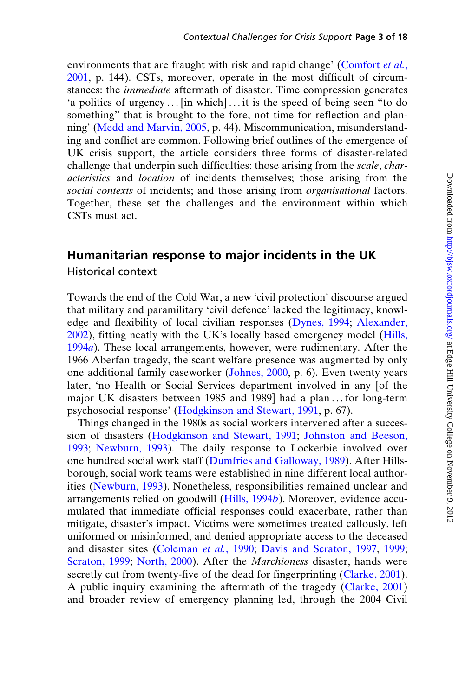environments that are fraught with risk and rapid change' ([Comfort](#page-14-0) et al., [2001](#page-14-0), p. 144). CSTs, moreover, operate in the most difficult of circumstances: the immediate aftermath of disaster. Time compression generates 'a politics of urgency ... [in which] ... it is the speed of being seen "to do something" that is brought to the fore, not time for reflection and planning' [\(Medd and Marvin, 2005,](#page-16-0) p. 44). Miscommunication, misunderstanding and conflict are common. Following brief outlines of the emergence of UK crisis support, the article considers three forms of disaster-related challenge that underpin such difficulties: those arising from the *scale*, *char*acteristics and location of incidents themselves; those arising from the social contexts of incidents; and those arising from *organisational* factors. Together, these set the challenges and the environment within which CSTs must act.

### Humanitarian response to major incidents in the UK Historical context

Towards the end of the Cold War, a new 'civil protection' discourse argued that military and paramilitary 'civil defence' lacked the legitimacy, knowledge and flexibility of local civilian responses [\(Dynes, 1994;](#page-15-0) [Alexander,](#page-14-0) [2002](#page-14-0)), fitting neatly with the UK's locally based emergency model ([Hills,](#page-15-0) [1994](#page-15-0)a). These local arrangements, however, were rudimentary. After the 1966 Aberfan tragedy, the scant welfare presence was augmented by only one additional family caseworker [\(Johnes, 2000](#page-15-0), p. 6). Even twenty years later, 'no Health or Social Services department involved in any [of the major UK disasters between 1985 and 1989] had a plan ... for long-term psychosocial response' [\(Hodgkinson and Stewart, 1991](#page-15-0), p. 67).

Things changed in the 1980s as social workers intervened after a succession of disasters ([Hodgkinson and Stewart, 1991;](#page-15-0) [Johnston and Beeson,](#page-16-0) [1993](#page-16-0); [Newburn, 1993\)](#page-16-0). The daily response to Lockerbie involved over one hundred social work staff [\(Dumfries and Galloway, 1989](#page-15-0)). After Hillsborough, social work teams were established in nine different local authorities ([Newburn, 1993](#page-16-0)). Nonetheless, responsibilities remained unclear and arrangements relied on goodwill [\(Hills, 1994](#page-15-0)b). Moreover, evidence accumulated that immediate official responses could exacerbate, rather than mitigate, disaster's impact. Victims were sometimes treated callously, left uniformed or misinformed, and denied appropriate access to the deceased and disaster sites [\(Coleman](#page-14-0) et al., 1990; [Davis and Scraton, 1997,](#page-14-0) [1999](#page-15-0); [Scraton, 1999;](#page-17-0) [North, 2000](#page-16-0)). After the *Marchioness* disaster, hands were secretly cut from twenty-five of the dead for fingerprinting ([Clarke, 2001\)](#page-14-0). A public inquiry examining the aftermath of the tragedy [\(Clarke, 2001](#page-14-0)) and broader review of emergency planning led, through the 2004 Civil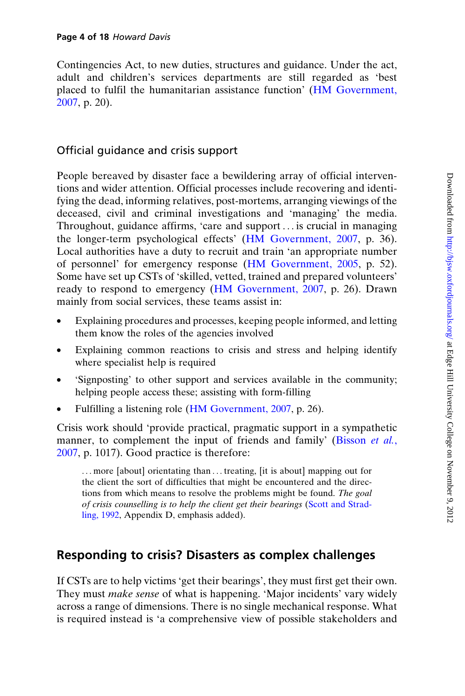Contingencies Act, to new duties, structures and guidance. Under the act, adult and children's services departments are still regarded as 'best placed to fulfil the humanitarian assistance function' [\(HM Government,](#page-15-0) [2007](#page-15-0), p. 20).

### Official guidance and crisis support

People bereaved by disaster face a bewildering array of official interventions and wider attention. Official processes include recovering and identifying the dead, informing relatives, post-mortems, arranging viewings of the deceased, civil and criminal investigations and 'managing' the media. Throughout, guidance affirms, 'care and support ... is crucial in managing the longer-term psychological effects' [\(HM Government, 2007](#page-15-0), p. 36). Local authorities have a duty to recruit and train 'an appropriate number of personnel' for emergency response [\(HM Government, 2005](#page-15-0), p. 52). Some have set up CSTs of 'skilled, vetted, trained and prepared volunteers' ready to respond to emergency ([HM Government, 2007](#page-15-0), p. 26). Drawn mainly from social services, these teams assist in:

- † Explaining procedures and processes, keeping people informed, and letting them know the roles of the agencies involved
- Explaining common reactions to crisis and stress and helping identify where specialist help is required
- † 'Signposting' to other support and services available in the community; helping people access these; assisting with form-filling
- † Fulfilling a listening role [\(HM Government, 2007](#page-15-0), p. 26).

Crisis work should 'provide practical, pragmatic support in a sympathetic manner, to complement the input of friends and family' ([Bisson](#page-14-0) *et al.*, [2007](#page-14-0), p. 1017). Good practice is therefore:

... more [about] orientating than ... treating, [it is about] mapping out for the client the sort of difficulties that might be encountered and the directions from which means to resolve the problems might be found. The goal of crisis counselling is to help the client get their bearings ([Scott and Strad](#page-17-0)[ling, 1992](#page-17-0), Appendix D, emphasis added).

# Responding to crisis? Disasters as complex challenges

If CSTs are to help victims 'get their bearings', they must first get their own. They must make sense of what is happening. 'Major incidents' vary widely across a range of dimensions. There is no single mechanical response. What is required instead is 'a comprehensive view of possible stakeholders and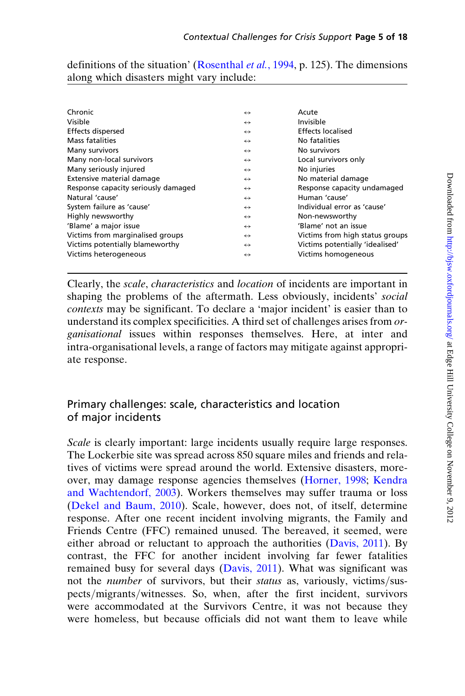| $\leftrightarrow$ | Acute                           |
|-------------------|---------------------------------|
| $\leftrightarrow$ | Invisible                       |
| $\leftrightarrow$ | <b>Effects localised</b>        |
| $\leftrightarrow$ | No fatalities                   |
| $\leftrightarrow$ | No survivors                    |
| $\leftrightarrow$ | Local survivors only            |
| $\leftrightarrow$ | No injuries                     |
| $\leftrightarrow$ | No material damage              |
| $\leftrightarrow$ | Response capacity undamaged     |
| $\leftrightarrow$ | Human 'cause'                   |
| $\leftrightarrow$ | Individual error as 'cause'     |
| $\leftrightarrow$ | Non-newsworthy                  |
| $\leftrightarrow$ | 'Blame' not an issue            |
| $\leftrightarrow$ | Victims from high status groups |
| $\leftrightarrow$ | Victims potentially 'idealised' |
| $\leftrightarrow$ | Victims homogeneous             |
|                   |                                 |

definitions of the situation' ([Rosenthal](#page-17-0) et al., 1994, p. 125). The dimensions along which disasters might vary include:

Clearly, the scale, characteristics and location of incidents are important in shaping the problems of the aftermath. Less obviously, incidents' social contexts may be significant. To declare a 'major incident' is easier than to understand its complex specificities. A third set of challenges arises from organisational issues within responses themselves. Here, at inter and intra-organisational levels, a range of factors may mitigate against appropriate response.

### Primary challenges: scale, characteristics and location of major incidents

Scale is clearly important: large incidents usually require large responses. The Lockerbie site was spread across 850 square miles and friends and relatives of victims were spread around the world. Extensive disasters, moreover, may damage response agencies themselves ([Horner, 1998;](#page-15-0) [Kendra](#page-16-0) [and Wachtendorf, 2003\)](#page-16-0). Workers themselves may suffer trauma or loss ([Dekel and Baum, 2010](#page-15-0)). Scale, however, does not, of itself, determine response. After one recent incident involving migrants, the Family and Friends Centre (FFC) remained unused. The bereaved, it seemed, were either abroad or reluctant to approach the authorities ([Davis, 2011](#page-14-0)). By contrast, the FFC for another incident involving far fewer fatalities remained busy for several days ([Davis, 2011](#page-14-0)). What was significant was not the number of survivors, but their status as, variously, victims/suspects/migrants/witnesses. So, when, after the first incident, survivors were accommodated at the Survivors Centre, it was not because they were homeless, but because officials did not want them to leave while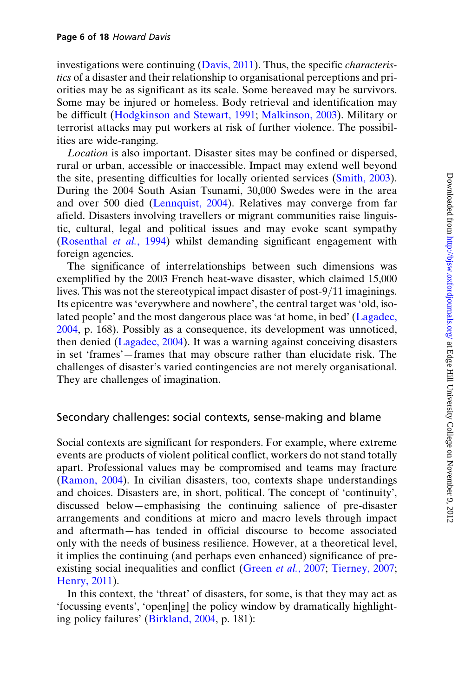investigations were continuing ([Davis, 2011\)](#page-14-0). Thus, the specific characteristics of a disaster and their relationship to organisational perceptions and priorities may be as significant as its scale. Some bereaved may be survivors. Some may be injured or homeless. Body retrieval and identification may be difficult ([Hodgkinson and Stewart, 1991](#page-15-0); [Malkinson, 2003\)](#page-16-0). Military or terrorist attacks may put workers at risk of further violence. The possibilities are wide-ranging.

Location is also important. Disaster sites may be confined or dispersed, rural or urban, accessible or inaccessible. Impact may extend well beyond the site, presenting difficulties for locally oriented services [\(Smith, 2003\)](#page-17-0). During the 2004 South Asian Tsunami, 30,000 Swedes were in the area and over 500 died ([Lennquist, 2004\)](#page-16-0). Relatives may converge from far afield. Disasters involving travellers or migrant communities raise linguistic, cultural, legal and political issues and may evoke scant sympathy ([Rosenthal](#page-17-0) et al., 1994) whilst demanding significant engagement with foreign agencies.

The significance of interrelationships between such dimensions was exemplified by the 2003 French heat-wave disaster, which claimed 15,000 lives. This was not the stereotypical impact disaster of post-9/11 imaginings. Its epicentre was 'everywhere and nowhere', the central target was 'old, isolated people' and the most dangerous place was 'at home, in bed' ([Lagadec,](#page-16-0) [2004](#page-16-0), p. 168). Possibly as a consequence, its development was unnoticed, then denied [\(Lagadec, 2004\)](#page-16-0). It was a warning against conceiving disasters in set 'frames'—frames that may obscure rather than elucidate risk. The challenges of disaster's varied contingencies are not merely organisational. They are challenges of imagination.

#### Secondary challenges: social contexts, sense-making and blame

Social contexts are significant for responders. For example, where extreme events are products of violent political conflict, workers do not stand totally apart. Professional values may be compromised and teams may fracture ([Ramon, 2004\)](#page-16-0). In civilian disasters, too, contexts shape understandings and choices. Disasters are, in short, political. The concept of 'continuity', discussed below—emphasising the continuing salience of pre-disaster arrangements and conditions at micro and macro levels through impact and aftermath—has tended in official discourse to become associated only with the needs of business resilience. However, at a theoretical level, it implies the continuing (and perhaps even enhanced) significance of pre-existing social inequalities and conflict [\(Green](#page-15-0) et al., 2007; [Tierney, 2007](#page-17-0); [Henry, 2011](#page-15-0)).

In this context, the 'threat' of disasters, for some, is that they may act as 'focussing events', 'open[ing] the policy window by dramatically highlighting policy failures' [\(Birkland, 2004](#page-14-0), p. 181):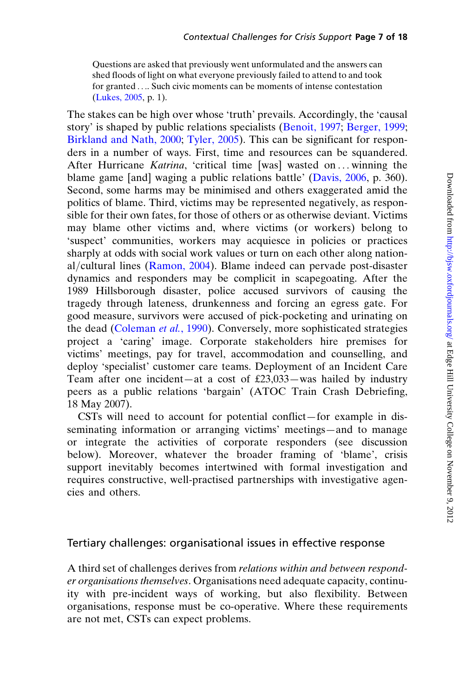Questions are asked that previously went unformulated and the answers can shed floods of light on what everyone previously failed to attend to and took for granted .... Such civic moments can be moments of intense contestation [\(Lukes, 2005](#page-16-0), p. 1).

The stakes can be high over whose 'truth' prevails. Accordingly, the 'causal story' is shaped by public relations specialists [\(Benoit, 1997](#page-14-0); [Berger, 1999;](#page-14-0) [Birkland and Nath, 2000](#page-14-0); [Tyler, 2005](#page-17-0)). This can be significant for responders in a number of ways. First, time and resources can be squandered. After Hurricane Katrina, 'critical time [was] wasted on ... winning the blame game [and] waging a public relations battle' ([Davis, 2006,](#page-15-0) p. 360). Second, some harms may be minimised and others exaggerated amid the politics of blame. Third, victims may be represented negatively, as responsible for their own fates, for those of others or as otherwise deviant. Victims may blame other victims and, where victims (or workers) belong to 'suspect' communities, workers may acquiesce in policies or practices sharply at odds with social work values or turn on each other along national/cultural lines ([Ramon, 2004](#page-16-0)). Blame indeed can pervade post-disaster dynamics and responders may be complicit in scapegoating. After the 1989 Hillsborough disaster, police accused survivors of causing the tragedy through lateness, drunkenness and forcing an egress gate. For good measure, survivors were accused of pick-pocketing and urinating on the dead ([Coleman](#page-14-0) et al., 1990). Conversely, more sophisticated strategies project a 'caring' image. Corporate stakeholders hire premises for victims' meetings, pay for travel, accommodation and counselling, and deploy 'specialist' customer care teams. Deployment of an Incident Care Team after one incident—at a cost of £23,033—was hailed by industry peers as a public relations 'bargain' (ATOC Train Crash Debriefing, 18 May 2007).

CSTs will need to account for potential conflict—for example in disseminating information or arranging victims' meetings—and to manage or integrate the activities of corporate responders (see discussion below). Moreover, whatever the broader framing of 'blame', crisis support inevitably becomes intertwined with formal investigation and requires constructive, well-practised partnerships with investigative agencies and others.

#### Tertiary challenges: organisational issues in effective response

A third set of challenges derives from relations within and between responder organisations themselves. Organisations need adequate capacity, continuity with pre-incident ways of working, but also flexibility. Between organisations, response must be co-operative. Where these requirements are not met, CSTs can expect problems.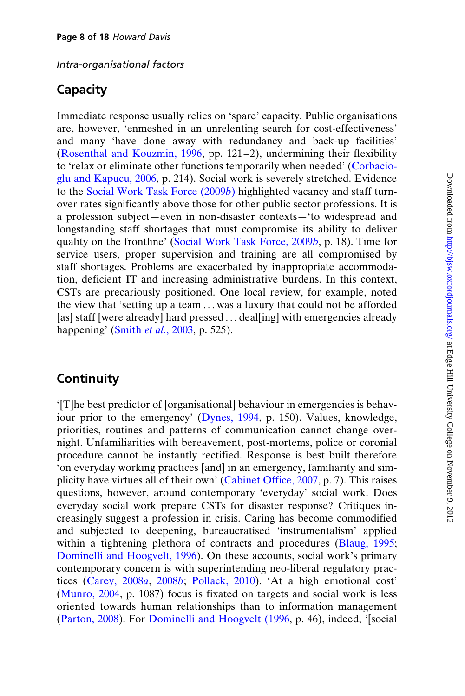Intra-organisational factors

# **Capacity**

Immediate response usually relies on 'spare' capacity. Public organisations are, however, 'enmeshed in an unrelenting search for cost-effectiveness' and many 'have done away with redundancy and back-up facilities' ([Rosenthal and Kouzmin, 1996](#page-16-0), pp.  $121-2$ ), undermining their flexibility to 'relax or eliminate other functions temporarily when needed' ([Corbacio](#page-14-0)[glu and Kapucu, 2006,](#page-14-0) p. 214). Social work is severely stretched. Evidence to the [Social Work Task Force \(2009](#page-17-0)b) highlighted vacancy and staff turnover rates significantly above those for other public sector professions. It is a profession subject—even in non-disaster contexts—'to widespread and longstanding staff shortages that must compromise its ability to deliver quality on the frontline' ([Social Work Task Force, 2009](#page-17-0)b, p. 18). Time for service users, proper supervision and training are all compromised by staff shortages. Problems are exacerbated by inappropriate accommodation, deficient IT and increasing administrative burdens. In this context, CSTs are precariously positioned. One local review, for example, noted the view that 'setting up a team ... was a luxury that could not be afforded [as] staff [were already] hard pressed ... deal[ing] with emergencies already happening' (Smith et al.[, 2003,](#page-17-0) p. 525).

# **Continuity**

'[T]he best predictor of [organisational] behaviour in emergencies is behaviour prior to the emergency' ([Dynes, 1994](#page-15-0), p. 150). Values, knowledge, priorities, routines and patterns of communication cannot change overnight. Unfamiliarities with bereavement, post-mortems, police or coronial procedure cannot be instantly rectified. Response is best built therefore 'on everyday working practices [and] in an emergency, familiarity and simplicity have virtues all of their own' [\(Cabinet Office, 2007,](#page-14-0) p. 7). This raises questions, however, around contemporary 'everyday' social work. Does everyday social work prepare CSTs for disaster response? Critiques increasingly suggest a profession in crisis. Caring has become commodified and subjected to deepening, bureaucratised 'instrumentalism' applied within a tightening plethora of contracts and procedures [\(Blaug, 1995](#page-14-0); [Dominelli and Hoogvelt, 1996](#page-15-0)). On these accounts, social work's primary contemporary concern is with superintending neo-liberal regulatory practices ([Carey, 2008](#page-14-0)a, [2008](#page-14-0)b; [Pollack, 2010\)](#page-16-0). 'At a high emotional cost' ([Munro, 2004](#page-16-0), p. 1087) focus is fixated on targets and social work is less oriented towards human relationships than to information management ([Parton, 2008](#page-16-0)). For [Dominelli and Hoogvelt \(1996,](#page-15-0) p. 46), indeed, '[social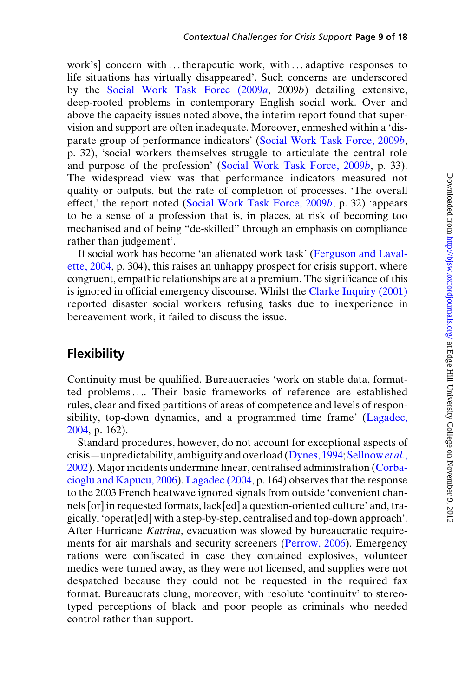work's] concern with ... therapeutic work, with ... adaptive responses to life situations has virtually disappeared'. Such concerns are underscored by the [Social Work Task Force \(2009](#page-17-0)a, 2009b) detailing extensive, deep-rooted problems in contemporary English social work. Over and above the capacity issues noted above, the interim report found that supervision and support are often inadequate. Moreover, enmeshed within a 'disparate group of performance indicators' [\(Social Work Task Force, 2009](#page-17-0)b, p. 32), 'social workers themselves struggle to articulate the central role and purpose of the profession' [\(Social Work Task Force, 2009](#page-17-0)b, p. 33). The widespread view was that performance indicators measured not quality or outputs, but the rate of completion of processes. 'The overall effect,' the report noted [\(Social Work Task Force, 2009](#page-17-0)b, p. 32) 'appears to be a sense of a profession that is, in places, at risk of becoming too mechanised and of being "de-skilled" through an emphasis on compliance rather than judgement'.

If social work has become 'an alienated work task' ([Ferguson and Laval](#page-15-0)[ette, 2004,](#page-15-0) p. 304), this raises an unhappy prospect for crisis support, where congruent, empathic relationships are at a premium. The significance of this is ignored in official emergency discourse. Whilst the [Clarke Inquiry \(2001\)](#page-14-0) reported disaster social workers refusing tasks due to inexperience in bereavement work, it failed to discuss the issue.

### Flexibility

Continuity must be qualified. Bureaucracies 'work on stable data, formatted problems .... Their basic frameworks of reference are established rules, clear and fixed partitions of areas of competence and levels of responsibility, top-down dynamics, and a programmed time frame' ([Lagadec,](#page-16-0) [2004](#page-16-0), p. 162).

Standard procedures, however, do not account for exceptional aspects of crisis—unpredictability, ambiguity and overload ([Dynes, 1994](#page-15-0); [Sellnow](#page-17-0) et al., [2002](#page-17-0)). Major incidents undermine linear, centralised administration ([Corba](#page-14-0)[cioglu and Kapucu, 2006\)](#page-14-0). [Lagadec \(2004,](#page-16-0) p. 164) observes that the response to the 2003 French heatwave ignored signals from outside 'convenient channels [or] in requested formats, lack[ed] a question-oriented culture' and, tragically, 'operat[ed] with a step-by-step, centralised and top-down approach'. After Hurricane Katrina, evacuation was slowed by bureaucratic requirements for air marshals and security screeners [\(Perrow, 2006\)](#page-16-0). Emergency rations were confiscated in case they contained explosives, volunteer medics were turned away, as they were not licensed, and supplies were not despatched because they could not be requested in the required fax format. Bureaucrats clung, moreover, with resolute 'continuity' to stereotyped perceptions of black and poor people as criminals who needed control rather than support.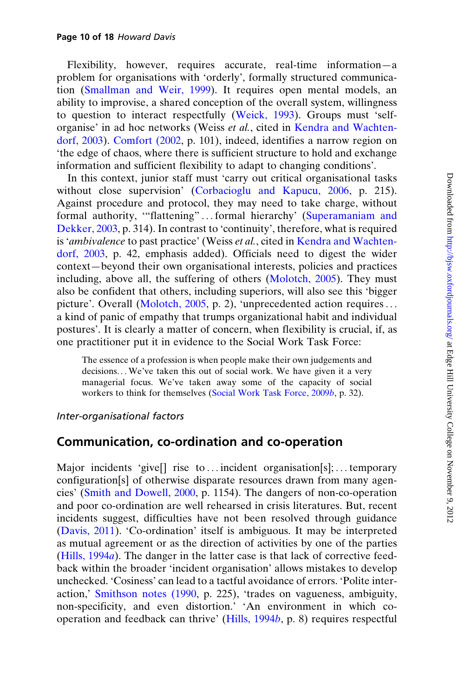Flexibility, however, requires accurate, real-time information—a problem for organisations with 'orderly', formally structured communication ([Smallman and Weir, 1999\)](#page-17-0). It requires open mental models, an ability to improvise, a shared conception of the overall system, willingness to question to interact respectfully [\(Weick, 1993](#page-17-0)). Groups must 'selforganise' in ad hoc networks (Weiss et al., cited in [Kendra and Wachten](#page-16-0)[dorf, 2003](#page-16-0)). [Comfort \(2002](#page-14-0), p. 101), indeed, identifies a narrow region on 'the edge of chaos, where there is sufficient structure to hold and exchange information and sufficient flexibility to adapt to changing conditions'.

In this context, junior staff must 'carry out critical organisational tasks without close supervision' ([Corbacioglu and Kapucu, 2006](#page-14-0), p. 215). Against procedure and protocol, they may need to take charge, without formal authority, '"flattening" ... formal hierarchy' [\(Superamaniam and](#page-17-0) [Dekker, 2003,](#page-17-0) p. 314). In contrast to 'continuity', therefore, what is required is 'ambivalence to past practice' (Weiss et al., cited in [Kendra and Wachten](#page-16-0)[dorf, 2003,](#page-16-0) p. 42, emphasis added). Officials need to digest the wider context—beyond their own organisational interests, policies and practices including, above all, the suffering of others ([Molotch, 2005](#page-16-0)). They must also be confident that others, including superiors, will also see this 'bigger picture'. Overall [\(Molotch, 2005](#page-16-0), p. 2), 'unprecedented action requires... a kind of panic of empathy that trumps organizational habit and individual postures'. It is clearly a matter of concern, when flexibility is crucial, if, as one practitioner put it in evidence to the Social Work Task Force:

The essence of a profession is when people make their own judgements and decisions... We've taken this out of social work. We have given it a very managerial focus. We've taken away some of the capacity of social workers to think for themselves ([Social Work Task Force, 2009](#page-17-0)b, p. 32).

#### Inter-organisational factors

## Communication, co-ordination and co-operation

Major incidents 'give<sup>[]</sup> rise to ... incident organisation[s]; ... temporary configuration[s] of otherwise disparate resources drawn from many agencies' [\(Smith and Dowell, 2000,](#page-17-0) p. 1154). The dangers of non-co-operation and poor co-ordination are well rehearsed in crisis literatures. But, recent incidents suggest, difficulties have not been resolved through guidance ([Davis, 2011](#page-14-0)). 'Co-ordination' itself is ambiguous. It may be interpreted as mutual agreement or as the direction of activities by one of the parties  $(Hills, 1994a)$  $(Hills, 1994a)$  $(Hills, 1994a)$ . The danger in the latter case is that lack of corrective feedback within the broader 'incident organisation' allows mistakes to develop unchecked. 'Cosiness' can lead to a tactful avoidance of errors. 'Polite interaction,' [Smithson notes \(1990,](#page-17-0) p. 225), 'trades on vagueness, ambiguity, non-specificity, and even distortion.' 'An environment in which cooperation and feedback can thrive' [\(Hills, 1994](#page-15-0)b, p. 8) requires respectful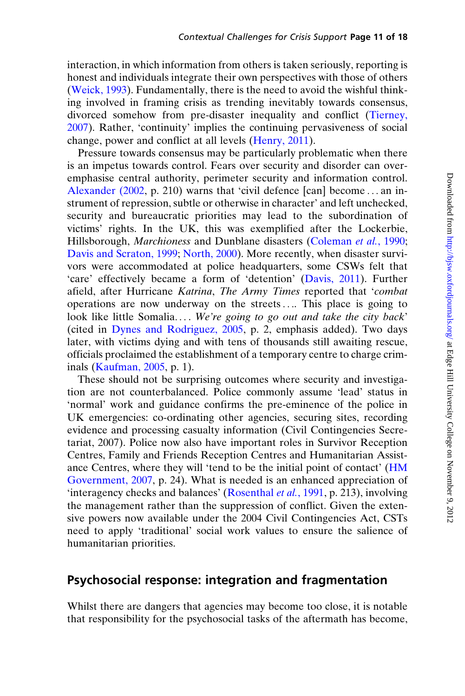interaction, in which information from others is taken seriously, reporting is honest and individuals integrate their own perspectives with those of others ([Weick, 1993\)](#page-17-0). Fundamentally, there is the need to avoid the wishful thinking involved in framing crisis as trending inevitably towards consensus, divorced somehow from pre-disaster inequality and conflict ([Tierney,](#page-17-0) [2007](#page-17-0)). Rather, 'continuity' implies the continuing pervasiveness of social change, power and conflict at all levels ([Henry, 2011](#page-15-0)).

Pressure towards consensus may be particularly problematic when there is an impetus towards control. Fears over security and disorder can overemphasise central authority, perimeter security and information control. [Alexander \(2002](#page-14-0), p. 210) warns that 'civil defence [can] become ... an instrument of repression, subtle or otherwise in character' and left unchecked, security and bureaucratic priorities may lead to the subordination of victims' rights. In the UK, this was exemplified after the Lockerbie, Hillsborough, *Marchioness* and Dunblane disasters ([Coleman](#page-14-0) et al., 1990; [Davis and Scraton, 1999](#page-15-0); [North, 2000\)](#page-16-0). More recently, when disaster survivors were accommodated at police headquarters, some CSWs felt that 'care' effectively became a form of 'detention' [\(Davis, 2011\)](#page-14-0). Further afield, after Hurricane Katrina, The Army Times reported that 'combat operations are now underway on the streets .... This place is going to look like little Somalia.... We're going to go out and take the city back' (cited in [Dynes and Rodriguez, 2005,](#page-15-0) p. 2, emphasis added). Two days later, with victims dying and with tens of thousands still awaiting rescue, officials proclaimed the establishment of a temporary centre to charge criminals ([Kaufman, 2005,](#page-16-0) p. 1).

These should not be surprising outcomes where security and investigation are not counterbalanced. Police commonly assume 'lead' status in 'normal' work and guidance confirms the pre-eminence of the police in UK emergencies: co-ordinating other agencies, securing sites, recording evidence and processing casualty information (Civil Contingencies Secretariat, 2007). Police now also have important roles in Survivor Reception Centres, Family and Friends Reception Centres and Humanitarian Assistance Centres, where they will 'tend to be the initial point of contact' [\(HM](#page-15-0) [Government, 2007](#page-15-0), p. 24). What is needed is an enhanced appreciation of 'interagency checks and balances' [\(Rosenthal](#page-17-0) et al., 1991, p. 213), involving the management rather than the suppression of conflict. Given the extensive powers now available under the 2004 Civil Contingencies Act, CSTs need to apply 'traditional' social work values to ensure the salience of humanitarian priorities.

### Psychosocial response: integration and fragmentation

Whilst there are dangers that agencies may become too close, it is notable that responsibility for the psychosocial tasks of the aftermath has become,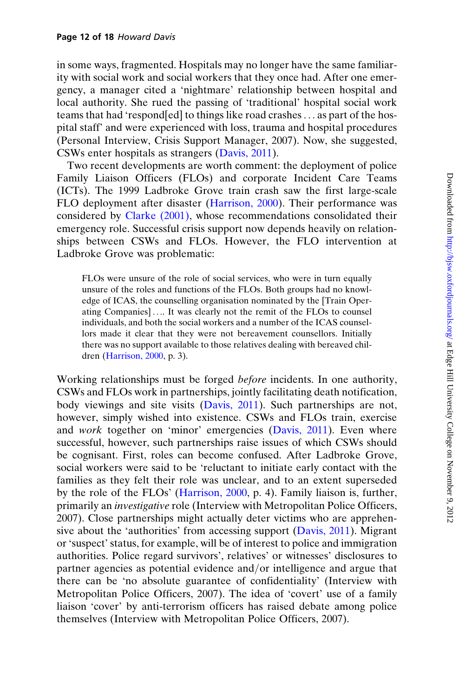in some ways, fragmented. Hospitals may no longer have the same familiarity with social work and social workers that they once had. After one emergency, a manager cited a 'nightmare' relationship between hospital and local authority. She rued the passing of 'traditional' hospital social work teams that had 'respond[ed] to things like road crashes ... as part of the hospital staff' and were experienced with loss, trauma and hospital procedures (Personal Interview, Crisis Support Manager, 2007). Now, she suggested, CSWs enter hospitals as strangers ([Davis, 2011](#page-14-0)).

Two recent developments are worth comment: the deployment of police Family Liaison Officers (FLOs) and corporate Incident Care Teams (ICTs). The 1999 Ladbroke Grove train crash saw the first large-scale FLO deployment after disaster ([Harrison, 2000\)](#page-15-0). Their performance was considered by [Clarke \(2001\)](#page-14-0), whose recommendations consolidated their emergency role. Successful crisis support now depends heavily on relationships between CSWs and FLOs. However, the FLO intervention at Ladbroke Grove was problematic:

FLOs were unsure of the role of social services, who were in turn equally unsure of the roles and functions of the FLOs. Both groups had no knowledge of ICAS, the counselling organisation nominated by the [Train Operating Companies] .... It was clearly not the remit of the FLOs to counsel individuals, and both the social workers and a number of the ICAS counsellors made it clear that they were not bereavement counsellors. Initially there was no support available to those relatives dealing with bereaved children ([Harrison, 2000](#page-15-0), p. 3).

Working relationships must be forged before incidents. In one authority, CSWs and FLOs work in partnerships, jointly facilitating death notification, body viewings and site visits ([Davis, 2011](#page-14-0)). Such partnerships are not, however, simply wished into existence. CSWs and FLOs train, exercise and work together on 'minor' emergencies ([Davis, 2011](#page-14-0)). Even where successful, however, such partnerships raise issues of which CSWs should be cognisant. First, roles can become confused. After Ladbroke Grove, social workers were said to be 'reluctant to initiate early contact with the families as they felt their role was unclear, and to an extent superseded by the role of the FLOs' [\(Harrison, 2000](#page-15-0), p. 4). Family liaison is, further, primarily an investigative role (Interview with Metropolitan Police Officers, 2007). Close partnerships might actually deter victims who are apprehensive about the 'authorities' from accessing support ([Davis, 2011](#page-14-0)). Migrant or 'suspect' status, for example, will be of interest to police and immigration authorities. Police regard survivors', relatives' or witnesses' disclosures to partner agencies as potential evidence and/or intelligence and argue that there can be 'no absolute guarantee of confidentiality' (Interview with Metropolitan Police Officers, 2007). The idea of 'covert' use of a family liaison 'cover' by anti-terrorism officers has raised debate among police themselves (Interview with Metropolitan Police Officers, 2007).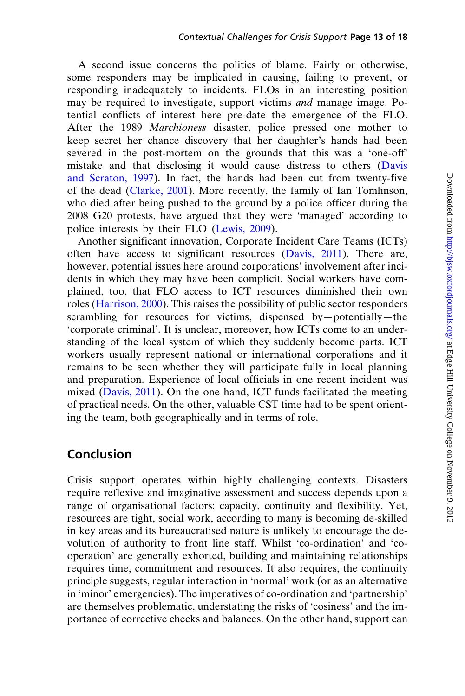A second issue concerns the politics of blame. Fairly or otherwise, some responders may be implicated in causing, failing to prevent, or responding inadequately to incidents. FLOs in an interesting position may be required to investigate, support victims and manage image. Potential conflicts of interest here pre-date the emergence of the FLO. After the 1989 Marchioness disaster, police pressed one mother to keep secret her chance discovery that her daughter's hands had been severed in the post-mortem on the grounds that this was a 'one-off' mistake and that disclosing it would cause distress to others ([Davis](#page-14-0) [and Scraton, 1997](#page-14-0)). In fact, the hands had been cut from twenty-five of the dead [\(Clarke, 2001](#page-14-0)). More recently, the family of Ian Tomlinson, who died after being pushed to the ground by a police officer during the 2008 G20 protests, have argued that they were 'managed' according to police interests by their FLO [\(Lewis, 2009\)](#page-16-0).

Another significant innovation, Corporate Incident Care Teams (ICTs) often have access to significant resources ([Davis, 2011\)](#page-14-0). There are, however, potential issues here around corporations' involvement after incidents in which they may have been complicit. Social workers have complained, too, that FLO access to ICT resources diminished their own roles [\(Harrison, 2000](#page-15-0)). This raises the possibility of public sector responders scrambling for resources for victims, dispensed by—potentially—the 'corporate criminal'. It is unclear, moreover, how ICTs come to an understanding of the local system of which they suddenly become parts. ICT workers usually represent national or international corporations and it remains to be seen whether they will participate fully in local planning and preparation. Experience of local officials in one recent incident was mixed ([Davis, 2011\)](#page-14-0). On the one hand, ICT funds facilitated the meeting of practical needs. On the other, valuable CST time had to be spent orienting the team, both geographically and in terms of role.

### Conclusion

Crisis support operates within highly challenging contexts. Disasters require reflexive and imaginative assessment and success depends upon a range of organisational factors: capacity, continuity and flexibility. Yet, resources are tight, social work, according to many is becoming de-skilled in key areas and its bureaucratised nature is unlikely to encourage the devolution of authority to front line staff. Whilst 'co-ordination' and 'cooperation' are generally exhorted, building and maintaining relationships requires time, commitment and resources. It also requires, the continuity principle suggests, regular interaction in 'normal' work (or as an alternative in 'minor' emergencies). The imperatives of co-ordination and 'partnership' are themselves problematic, understating the risks of 'cosiness' and the importance of corrective checks and balances. On the other hand, support can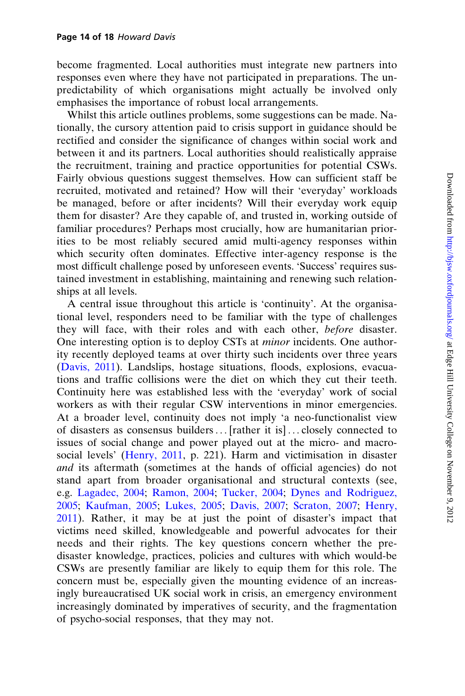become fragmented. Local authorities must integrate new partners into responses even where they have not participated in preparations. The unpredictability of which organisations might actually be involved only emphasises the importance of robust local arrangements.

Whilst this article outlines problems, some suggestions can be made. Nationally, the cursory attention paid to crisis support in guidance should be rectified and consider the significance of changes within social work and between it and its partners. Local authorities should realistically appraise the recruitment, training and practice opportunities for potential CSWs. Fairly obvious questions suggest themselves. How can sufficient staff be recruited, motivated and retained? How will their 'everyday' workloads be managed, before or after incidents? Will their everyday work equip them for disaster? Are they capable of, and trusted in, working outside of familiar procedures? Perhaps most crucially, how are humanitarian priorities to be most reliably secured amid multi-agency responses within which security often dominates. Effective inter-agency response is the most difficult challenge posed by unforeseen events. 'Success' requires sustained investment in establishing, maintaining and renewing such relationships at all levels.

A central issue throughout this article is 'continuity'. At the organisational level, responders need to be familiar with the type of challenges they will face, with their roles and with each other, before disaster. One interesting option is to deploy CSTs at minor incidents. One authority recently deployed teams at over thirty such incidents over three years ([Davis, 2011](#page-14-0)). Landslips, hostage situations, floods, explosions, evacuations and traffic collisions were the diet on which they cut their teeth. Continuity here was established less with the 'everyday' work of social workers as with their regular CSW interventions in minor emergencies. At a broader level, continuity does not imply 'a neo-functionalist view of disasters as consensus builders ... [rather it is] ... closely connected to issues of social change and power played out at the micro- and macrosocial levels' [\(Henry, 2011](#page-15-0), p. 221). Harm and victimisation in disaster and its aftermath (sometimes at the hands of official agencies) do not stand apart from broader organisational and structural contexts (see, e.g. [Lagadec, 2004;](#page-16-0) [Ramon, 2004](#page-16-0); [Tucker, 2004;](#page-17-0) [Dynes and Rodriguez,](#page-15-0) [2005](#page-15-0); [Kaufman, 2005;](#page-16-0) [Lukes, 2005;](#page-16-0) [Davis, 2007;](#page-14-0) [Scraton, 2007](#page-17-0); [Henry,](#page-15-0) [2011](#page-15-0)). Rather, it may be at just the point of disaster's impact that victims need skilled, knowledgeable and powerful advocates for their needs and their rights. The key questions concern whether the predisaster knowledge, practices, policies and cultures with which would-be CSWs are presently familiar are likely to equip them for this role. The concern must be, especially given the mounting evidence of an increasingly bureaucratised UK social work in crisis, an emergency environment increasingly dominated by imperatives of security, and the fragmentation of psycho-social responses, that they may not.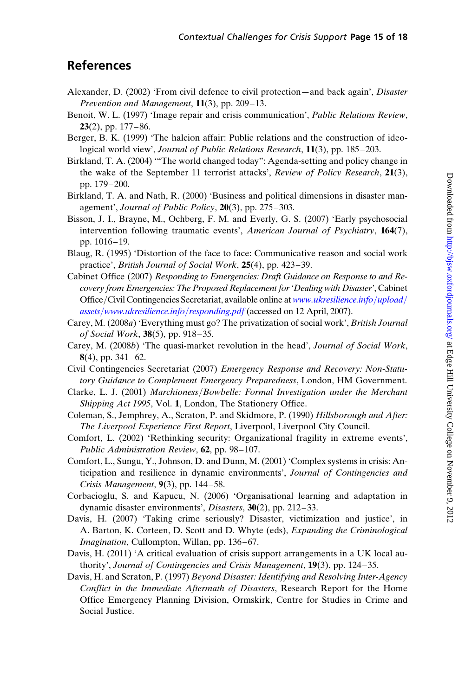# <span id="page-14-0"></span>References

- Alexander, D. (2002) 'From civil defence to civil protection—and back again', Disaster Prevention and Management,  $11(3)$ , pp. 209-13.
- Benoit, W. L. (1997) 'Image repair and crisis communication', Public Relations Review,  $23(2)$ , pp.  $177 - 86$ .
- Berger, B. K. (1999) 'The halcion affair: Public relations and the construction of ideological world view', Journal of Public Relations Research, 11(3), pp. 185–203.
- Birkland, T. A. (2004) '"The world changed today": Agenda-setting and policy change in the wake of the September 11 terrorist attacks', Review of Policy Research, 21(3), pp. 179 – 200.
- Birkland, T. A. and Nath, R. (2000) 'Business and political dimensions in disaster management', Journal of Public Policy, 20(3), pp. 275–303.
- Bisson, J. I., Brayne, M., Ochberg, F. M. and Everly, G. S. (2007) 'Early psychosocial intervention following traumatic events', American Journal of Psychiatry, 164(7), pp. 1016 – 19.
- Blaug, R. (1995) 'Distortion of the face to face: Communicative reason and social work practice', British Journal of Social Work, 25(4), pp. 423– 39.
- Cabinet Office (2007) Responding to Emergencies: Draft Guidance on Response to and Recovery from Emergencies: The Proposed Replacement for 'Dealing with Disaster', Cabinet Office/Civil Contingencies Secretariat, available online at [www.ukresilience.info](www.ukresilience.info/upload/assets/www.ukresilience.info/responding.pdf)/upload/ [assets](www.ukresilience.info/upload/assets/www.ukresilience.info/responding.pdf)/[www.ukresilience.info](www.ukresilience.info/upload/assets/www.ukresilience.info/responding.pdf)/responding.pdf (accessed on 12 April, 2007).
- Carey, M. (2008a) 'Everything must go? The privatization of social work', British Journal of Social Work, 38(5), pp. 918–35.
- Carey, M. (2008b) 'The quasi-market revolution in the head', Journal of Social Work,  $8(4)$ , pp. 341-62.
- Civil Contingencies Secretariat (2007) Emergency Response and Recovery: Non-Statutory Guidance to Complement Emergency Preparedness, London, HM Government.
- Clarke, L. J. (2001) Marchioness/Bowbelle: Formal Investigation under the Merchant Shipping Act 1995, Vol. 1, London, The Stationery Office.
- Coleman, S., Jemphrey, A., Scraton, P. and Skidmore, P. (1990) Hillsborough and After: The Liverpool Experience First Report, Liverpool, Liverpool City Council.
- Comfort, L. (2002) 'Rethinking security: Organizational fragility in extreme events', Public Administration Review, 62, pp. 98-107.
- Comfort, L., Sungu, Y., Johnson, D. and Dunn, M. (2001) 'Complex systems in crisis: Anticipation and resilience in dynamic environments', Journal of Contingencies and Crisis Management, 9(3), pp. 144–58.
- Corbacioglu, S. and Kapucu, N. (2006) 'Organisational learning and adaptation in dynamic disaster environments', *Disasters*, 30(2), pp. 212–33.
- Davis, H. (2007) 'Taking crime seriously? Disaster, victimization and justice', in A. Barton, K. Corteen, D. Scott and D. Whyte (eds), *Expanding the Criminological Imagination*, Cullompton, Willan, pp. 136–67.
- Davis, H. (2011) 'A critical evaluation of crisis support arrangements in a UK local authority', Journal of Contingencies and Crisis Management, 19(3), pp. 124–35.
- Davis, H. and Scraton, P. (1997) Beyond Disaster: Identifying and Resolving Inter-Agency Conflict in the Immediate Aftermath of Disasters, Research Report for the Home Office Emergency Planning Division, Ormskirk, Centre for Studies in Crime and Social Justice.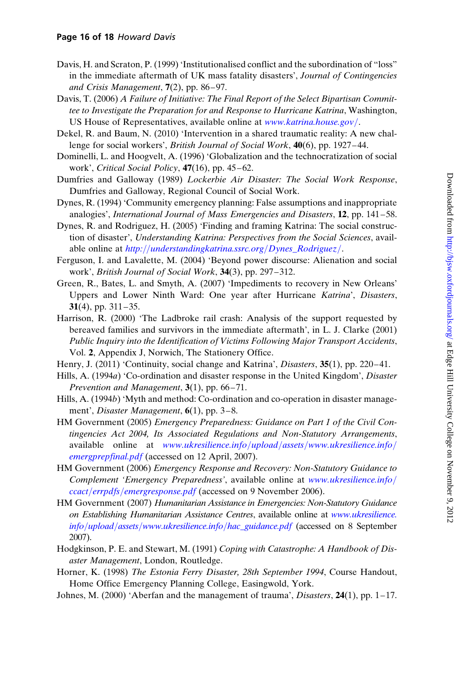- <span id="page-15-0"></span>Davis, H. and Scraton, P. (1999) 'Institutionalised conflict and the subordination of "loss" in the immediate aftermath of UK mass fatality disasters', Journal of Contingencies and Crisis Management,  $7(2)$ , pp. 86-97.
- Davis, T. (2006) A Failure of Initiative: The Final Report of the Select Bipartisan Committee to Investigate the Preparation for and Response to Hurricane Katrina, Washington, US House of Representatives, available online at [www.katrina.house.gov](www.katrina.house.gov/)/.
- Dekel, R. and Baum, N. (2010) 'Intervention in a shared traumatic reality: A new challenge for social workers', British Journal of Social Work, 40(6), pp. 1927–44.
- Dominelli, L. and Hoogvelt, A. (1996) 'Globalization and the technocratization of social work', Critical Social Policy, 47(16), pp. 45-62.
- Dumfries and Galloway (1989) Lockerbie Air Disaster: The Social Work Response, Dumfries and Galloway, Regional Council of Social Work.
- Dynes, R. (1994) 'Community emergency planning: False assumptions and inappropriate analogies', International Journal of Mass Emergencies and Disasters, 12, pp. 141–58.
- Dynes, R. and Rodriguez, H. (2005) 'Finding and framing Katrina: The social construction of disaster', Understanding Katrina: Perspectives from the Social Sciences, available online at [http:](http://understandingkatrina.ssrc.org/Dynes_Rodriguez/)//[understandingkatrina.ssrc.org](http://understandingkatrina.ssrc.org/Dynes_Rodriguez/)/Dynes\_Rodriguez/.
- Ferguson, I. and Lavalette, M. (2004) 'Beyond power discourse: Alienation and social work', *British Journal of Social Work*, 34(3), pp. 297–312.
- Green, R., Bates, L. and Smyth, A. (2007) 'Impediments to recovery in New Orleans' Uppers and Lower Ninth Ward: One year after Hurricane Katrina', Disasters,  $31(4)$ , pp.  $311-35$ .
- Harrison, R. (2000) 'The Ladbroke rail crash: Analysis of the support requested by bereaved families and survivors in the immediate aftermath', in L. J. Clarke (2001) Public Inquiry into the Identification of Victims Following Major Transport Accidents, Vol. 2, Appendix J, Norwich, The Stationery Office.
- Henry, J. (2011) 'Continuity, social change and Katrina', *Disasters*, 35(1), pp. 220–41.
- Hills, A. (1994a) 'Co-ordination and disaster response in the United Kingdom', Disaster Prevention and Management,  $3(1)$ , pp. 66–71.
- Hills, A. (1994b) 'Myth and method: Co-ordination and co-operation in disaster management', Disaster Management, 6(1), pp. 3-8.
- HM Government (2005) Emergency Preparedness: Guidance on Part 1 of the Civil Contingencies Act 2004, Its Associated Regulations and Non-Statutory Arrangements, available online at [www.ukresilience.info](www.ukresilience.info/upload/assets/www.ukresilience.info/emergprepfinal.pdf)/upload/assets/[www.ukresilience.info](www.ukresilience.info/upload/assets/www.ukresilience.info/emergprepfinal.pdf)/ [emergprepfinal.pdf](www.ukresilience.info/upload/assets/www.ukresilience.info/emergprepfinal.pdf) (accessed on 12 April, 2007).
- HM Government (2006) Emergency Response and Recovery: Non-Statutory Guidance to Complement 'Emergency Preparedness', available online at [www.ukresilience.info](www.ukresilience.info/ccact/errpdfs/emergresponse.pdf)/ ccact/errpdfs/[emergresponse.pdf](www.ukresilience.info/ccact/errpdfs/emergresponse.pdf) (accessed on 9 November 2006).
- HM Government (2007) Humanitarian Assistance in Emergencies: Non-Statutory Guidance on Establishing Humanitarian Assistance Centres, available online at [www.ukresilience.](www.ukresilience.info/upload/assets/www.ukresilience.info/hac_guidance.pdf)  $info/\upmu$ load/assets/[www.ukresilience.info](www.ukresilience.info/upload/assets/www.ukresilience.info/hac_guidance.pdf)/hac\_guidance.pdf (accessed on 8 September 2007).
- Hodgkinson, P. E. and Stewart, M. (1991) Coping with Catastrophe: A Handbook of Disaster Management, London, Routledge.
- Horner, K. (1998) The Estonia Ferry Disaster, 28th September 1994, Course Handout, Home Office Emergency Planning College, Easingwold, York.
- Johnes, M. (2000) 'Aberfan and the management of trauma', *Disasters*, **24**(1), pp. 1–17.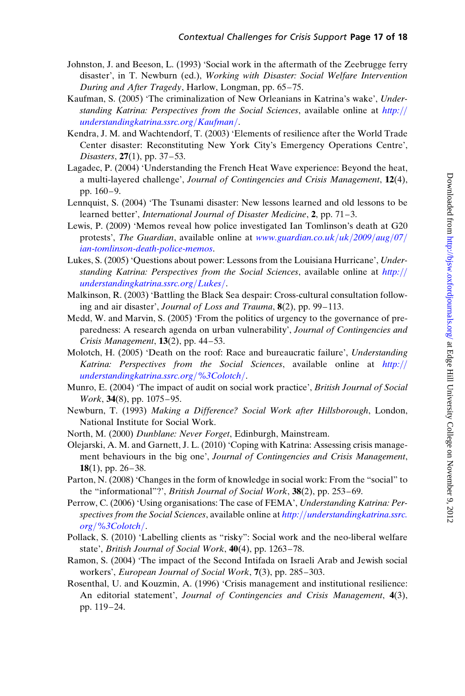- <span id="page-16-0"></span>Johnston, J. and Beeson, L. (1993) 'Social work in the aftermath of the Zeebrugge ferry disaster', in T. Newburn (ed.), Working with Disaster: Social Welfare Intervention During and After Tragedy, Harlow, Longman, pp. 65–75.
- Kaufman, S. (2005) 'The criminalization of New Orleanians in Katrina's wake', Understanding Katrina: Perspectives from the Social Sciences, available online at [http:](http://understandingkatrina.ssrc.org/Kaufman/)// [understandingkatrina.ssrc.org](http://understandingkatrina.ssrc.org/Kaufman/)/Kaufman/.
- Kendra, J. M. and Wachtendorf, T. (2003) 'Elements of resilience after the World Trade Center disaster: Reconstituting New York City's Emergency Operations Centre', Disasters,  $27(1)$ , pp.  $37-53$ .
- Lagadec, P. (2004) 'Understanding the French Heat Wave experience: Beyond the heat, a multi-layered challenge', Journal of Contingencies and Crisis Management, 12(4), pp. 160-9.
- Lennquist, S. (2004) 'The Tsunami disaster: New lessons learned and old lessons to be learned better', International Journal of Disaster Medicine, 2, pp. 71-3.
- Lewis, P. (2009) 'Memos reveal how police investigated Ian Tomlinson's death at G20 protests', The Guardian, available online at [www.guardian.co.uk](www.guardian.co.uk/uk/2009/aug/07/ian-tomlinson-death-police-memos)/uk/2009/aug/07/ [ian-tomlinson-death-police-memos](www.guardian.co.uk/uk/2009/aug/07/ian-tomlinson-death-police-memos).
- Lukes, S. (2005) 'Questions about power: Lessons from the Louisiana Hurricane', Understanding Katrina: Perspectives from the Social Sciences, available online at [http:](http://understandingkatrina.ssrc.org/Lukes/)// [understandingkatrina.ssrc.org](http://understandingkatrina.ssrc.org/Lukes/)/Lukes/.
- Malkinson, R. (2003) 'Battling the Black Sea despair: Cross-cultural consultation following and air disaster', Journal of Loss and Trauma, 8(2), pp. 99 – 113.
- Medd, W. and Marvin, S. (2005) 'From the politics of urgency to the governance of preparedness: A research agenda on urban vulnerability', Journal of Contingencies and Crisis Management,  $13(2)$ , pp. 44-53.
- Molotch, H. (2005) 'Death on the roof: Race and bureaucratic failure', Understanding Katrina: Perspectives from the Social Sciences, available online at [http:](http://understandingkatrina.ssrc.org/%3Colotch/)// [understandingkatrina.ssrc.org](http://understandingkatrina.ssrc.org/%3Colotch/)/%3Colotch/.
- Munro, E. (2004) 'The impact of audit on social work practice', British Journal of Social Work, 34(8), pp. 1075–95.
- Newburn, T. (1993) Making a Difference? Social Work after Hillsborough, London, National Institute for Social Work.
- North, M. (2000) Dunblane: Never Forget, Edinburgh, Mainstream.
- Olejarski, A. M. and Garnett, J. L. (2010) 'Coping with Katrina: Assessing crisis management behaviours in the big one', Journal of Contingencies and Crisis Management, 18 $(1)$ , pp. 26 – 38.
- Parton, N. (2008) 'Changes in the form of knowledge in social work: From the "social" to the "informational"?', British Journal of Social Work, 38(2), pp. 253–69.
- Perrow, C. (2006) 'Using organisations: The case of FEMA', Understanding Katrina: Perspectives from the Social Sciences, available online at [http:](http://understandingkatrina.ssrc.org/%3Colotch/)//[understandingkatrina.ssrc.](http://understandingkatrina.ssrc.org/%3Colotch/) org/[%3Colotch](http://understandingkatrina.ssrc.org/%3Colotch/)/.
- Pollack, S. (2010) 'Labelling clients as "risky": Social work and the neo-liberal welfare state', British Journal of Social Work, 40(4), pp. 1263–78.
- Ramon, S. (2004) 'The impact of the Second Intifada on Israeli Arab and Jewish social workers', European Journal of Social Work, 7(3), pp. 285 – 303.
- Rosenthal, U. and Kouzmin, A. (1996) 'Crisis management and institutional resilience: An editorial statement', Journal of Contingencies and Crisis Management, 4(3), pp. 119 – 24.